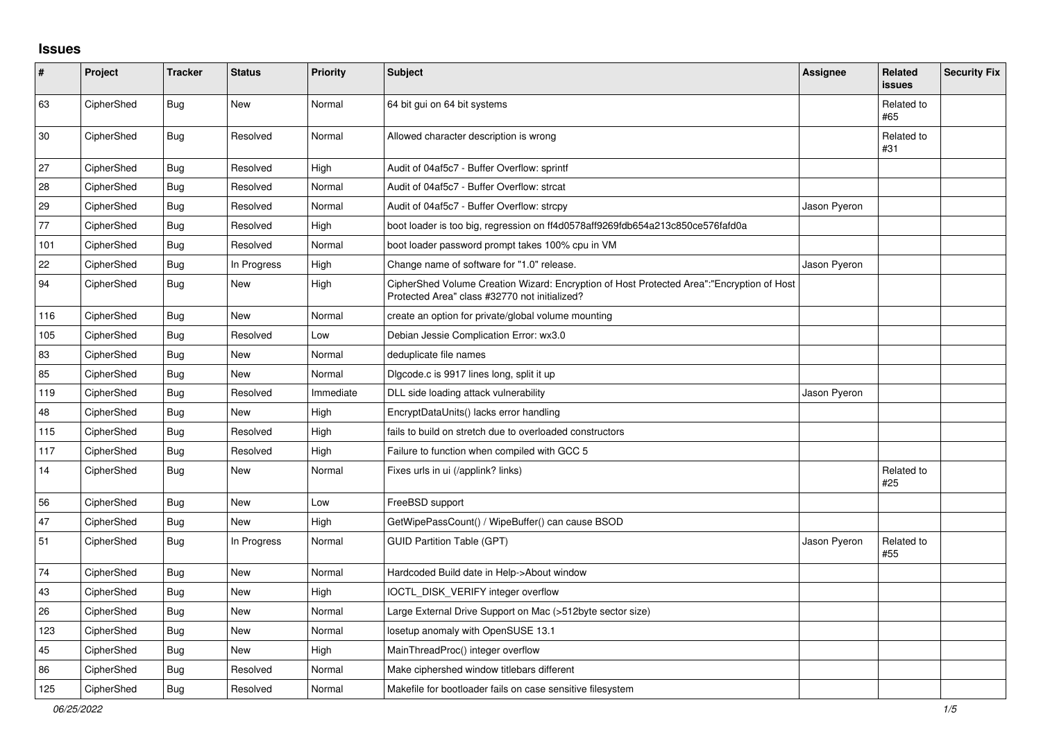## **Issues**

| $\vert$ # | Project    | <b>Tracker</b> | <b>Status</b> | Priority  | <b>Subject</b>                                                                                                                             | Assignee     | Related<br><b>issues</b> | <b>Security Fix</b> |
|-----------|------------|----------------|---------------|-----------|--------------------------------------------------------------------------------------------------------------------------------------------|--------------|--------------------------|---------------------|
| 63        | CipherShed | <b>Bug</b>     | <b>New</b>    | Normal    | 64 bit gui on 64 bit systems                                                                                                               |              | Related to<br>#65        |                     |
| 30        | CipherShed | Bug            | Resolved      | Normal    | Allowed character description is wrong                                                                                                     |              | Related to<br>#31        |                     |
| 27        | CipherShed | <b>Bug</b>     | Resolved      | High      | Audit of 04af5c7 - Buffer Overflow: sprintf                                                                                                |              |                          |                     |
| 28        | CipherShed | Bug            | Resolved      | Normal    | Audit of 04af5c7 - Buffer Overflow: strcat                                                                                                 |              |                          |                     |
| 29        | CipherShed | Bug            | Resolved      | Normal    | Audit of 04af5c7 - Buffer Overflow: strcpy                                                                                                 | Jason Pyeron |                          |                     |
| 77        | CipherShed | Bug            | Resolved      | High      | boot loader is too big, regression on ff4d0578aff9269fdb654a213c850ce576fafd0a                                                             |              |                          |                     |
| 101       | CipherShed | <b>Bug</b>     | Resolved      | Normal    | boot loader password prompt takes 100% cpu in VM                                                                                           |              |                          |                     |
| 22        | CipherShed | Bug            | In Progress   | High      | Change name of software for "1.0" release.                                                                                                 | Jason Pyeron |                          |                     |
| 94        | CipherShed | <b>Bug</b>     | New           | High      | CipherShed Volume Creation Wizard: Encryption of Host Protected Area":"Encryption of Host<br>Protected Area" class #32770 not initialized? |              |                          |                     |
| 116       | CipherShed | <b>Bug</b>     | <b>New</b>    | Normal    | create an option for private/global volume mounting                                                                                        |              |                          |                     |
| 105       | CipherShed | Bug            | Resolved      | Low       | Debian Jessie Complication Error: wx3.0                                                                                                    |              |                          |                     |
| 83        | CipherShed | Bug            | New           | Normal    | deduplicate file names                                                                                                                     |              |                          |                     |
| 85        | CipherShed | Bug            | <b>New</b>    | Normal    | Digcode.c is 9917 lines long, split it up                                                                                                  |              |                          |                     |
| 119       | CipherShed | Bug            | Resolved      | Immediate | DLL side loading attack vulnerability                                                                                                      | Jason Pyeron |                          |                     |
| 48        | CipherShed | Bug            | <b>New</b>    | High      | EncryptDataUnits() lacks error handling                                                                                                    |              |                          |                     |
| 115       | CipherShed | <b>Bug</b>     | Resolved      | High      | fails to build on stretch due to overloaded constructors                                                                                   |              |                          |                     |
| 117       | CipherShed | Bug            | Resolved      | High      | Failure to function when compiled with GCC 5                                                                                               |              |                          |                     |
| 14        | CipherShed | <b>Bug</b>     | New           | Normal    | Fixes urls in ui (/applink? links)                                                                                                         |              | Related to<br>#25        |                     |
| 56        | CipherShed | <b>Bug</b>     | <b>New</b>    | Low       | FreeBSD support                                                                                                                            |              |                          |                     |
| 47        | CipherShed | Bug            | New           | High      | GetWipePassCount() / WipeBuffer() can cause BSOD                                                                                           |              |                          |                     |
| 51        | CipherShed | Bug            | In Progress   | Normal    | <b>GUID Partition Table (GPT)</b>                                                                                                          | Jason Pyeron | Related to<br>#55        |                     |
| 74        | CipherShed | Bug            | <b>New</b>    | Normal    | Hardcoded Build date in Help->About window                                                                                                 |              |                          |                     |
| 43        | CipherShed | Bug            | <b>New</b>    | High      | <b>IOCTL DISK VERIFY integer overflow</b>                                                                                                  |              |                          |                     |
| 26        | CipherShed | <b>Bug</b>     | <b>New</b>    | Normal    | Large External Drive Support on Mac (>512byte sector size)                                                                                 |              |                          |                     |
| 123       | CipherShed | Bug            | New           | Normal    | losetup anomaly with OpenSUSE 13.1                                                                                                         |              |                          |                     |
| 45        | CipherShed | Bug            | <b>New</b>    | High      | MainThreadProc() integer overflow                                                                                                          |              |                          |                     |
| 86        | CipherShed | <b>Bug</b>     | Resolved      | Normal    | Make ciphershed window titlebars different                                                                                                 |              |                          |                     |
| 125       | CipherShed | Bug            | Resolved      | Normal    | Makefile for bootloader fails on case sensitive filesystem                                                                                 |              |                          |                     |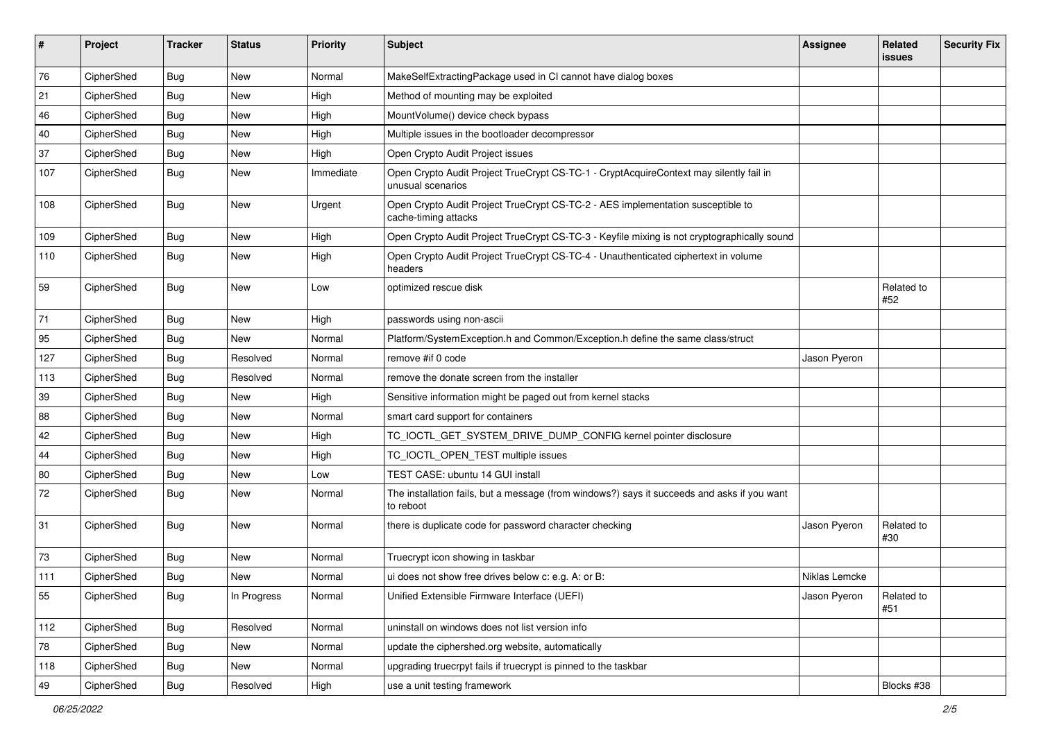| #   | Project    | <b>Tracker</b> | <b>Status</b> | Priority  | <b>Subject</b>                                                                                              | <b>Assignee</b> | Related<br><b>issues</b> | <b>Security Fix</b> |
|-----|------------|----------------|---------------|-----------|-------------------------------------------------------------------------------------------------------------|-----------------|--------------------------|---------------------|
| 76  | CipherShed | <b>Bug</b>     | New           | Normal    | MakeSelfExtractingPackage used in CI cannot have dialog boxes                                               |                 |                          |                     |
| 21  | CipherShed | Bug            | New           | High      | Method of mounting may be exploited                                                                         |                 |                          |                     |
| 46  | CipherShed | Bug            | New           | High      | MountVolume() device check bypass                                                                           |                 |                          |                     |
| 40  | CipherShed | <b>Bug</b>     | <b>New</b>    | High      | Multiple issues in the bootloader decompressor                                                              |                 |                          |                     |
| 37  | CipherShed | Bug            | New           | High      | Open Crypto Audit Project issues                                                                            |                 |                          |                     |
| 107 | CipherShed | <b>Bug</b>     | New           | Immediate | Open Crypto Audit Project TrueCrypt CS-TC-1 - CryptAcquireContext may silently fail in<br>unusual scenarios |                 |                          |                     |
| 108 | CipherShed | <b>Bug</b>     | New           | Urgent    | Open Crypto Audit Project TrueCrypt CS-TC-2 - AES implementation susceptible to<br>cache-timing attacks     |                 |                          |                     |
| 109 | CipherShed | <b>Bug</b>     | New           | High      | Open Crypto Audit Project TrueCrypt CS-TC-3 - Keyfile mixing is not cryptographically sound                 |                 |                          |                     |
| 110 | CipherShed | Bug            | New           | High      | Open Crypto Audit Project TrueCrypt CS-TC-4 - Unauthenticated ciphertext in volume<br>headers               |                 |                          |                     |
| 59  | CipherShed | Bug            | New           | Low       | optimized rescue disk                                                                                       |                 | Related to<br>#52        |                     |
| 71  | CipherShed | <b>Bug</b>     | New           | High      | passwords using non-ascii                                                                                   |                 |                          |                     |
| 95  | CipherShed | <b>Bug</b>     | New           | Normal    | Platform/SystemException.h and Common/Exception.h define the same class/struct                              |                 |                          |                     |
| 127 | CipherShed | <b>Bug</b>     | Resolved      | Normal    | remove #if 0 code                                                                                           | Jason Pyeron    |                          |                     |
| 113 | CipherShed | <b>Bug</b>     | Resolved      | Normal    | remove the donate screen from the installer                                                                 |                 |                          |                     |
| 39  | CipherShed | Bug            | New           | High      | Sensitive information might be paged out from kernel stacks                                                 |                 |                          |                     |
| 88  | CipherShed | <b>Bug</b>     | <b>New</b>    | Normal    | smart card support for containers                                                                           |                 |                          |                     |
| 42  | CipherShed | <b>Bug</b>     | New           | High      | TC_IOCTL_GET_SYSTEM_DRIVE_DUMP_CONFIG kernel pointer disclosure                                             |                 |                          |                     |
| 44  | CipherShed | <b>Bug</b>     | <b>New</b>    | High      | TC_IOCTL_OPEN_TEST multiple issues                                                                          |                 |                          |                     |
| 80  | CipherShed | Bug            | New           | Low       | TEST CASE: ubuntu 14 GUI install                                                                            |                 |                          |                     |
| 72  | CipherShed | Bug            | New           | Normal    | The installation fails, but a message (from windows?) says it succeeds and asks if you want<br>to reboot    |                 |                          |                     |
| 31  | CipherShed | Bug            | New           | Normal    | there is duplicate code for password character checking                                                     | Jason Pyeron    | Related to<br>#30        |                     |
| 73  | CipherShed | <b>Bug</b>     | New           | Normal    | Truecrypt icon showing in taskbar                                                                           |                 |                          |                     |
| 111 | CipherShed | <b>Bug</b>     | New           | Normal    | ui does not show free drives below c: e.g. A: or B:                                                         | Niklas Lemcke   |                          |                     |
| 55  | CipherShed | <b>Bug</b>     | In Progress   | Normal    | Unified Extensible Firmware Interface (UEFI)                                                                | Jason Pyeron    | Related to<br>#51        |                     |
| 112 | CipherShed | <b>Bug</b>     | Resolved      | Normal    | uninstall on windows does not list version info                                                             |                 |                          |                     |
| 78  | CipherShed | <b>Bug</b>     | New           | Normal    | update the ciphershed.org website, automatically                                                            |                 |                          |                     |
| 118 | CipherShed | <b>Bug</b>     | New           | Normal    | upgrading truecrpyt fails if truecrypt is pinned to the taskbar                                             |                 |                          |                     |
| 49  | CipherShed | <b>Bug</b>     | Resolved      | High      | use a unit testing framework                                                                                |                 | Blocks #38               |                     |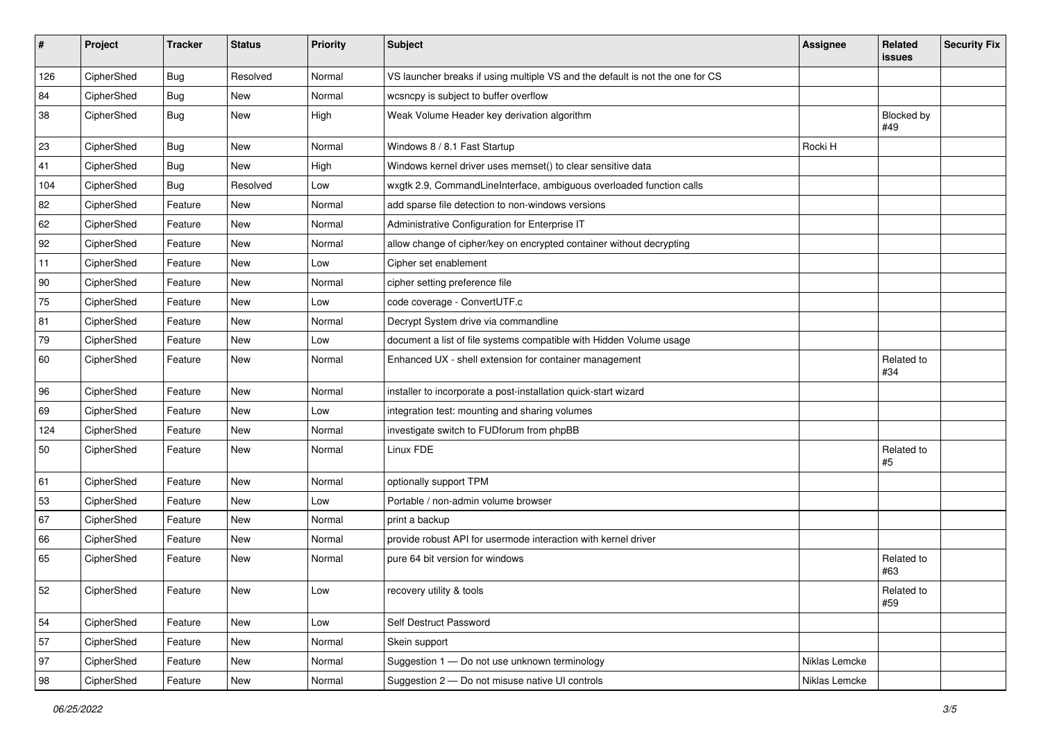| $\sharp$ | Project    | <b>Tracker</b> | <b>Status</b> | <b>Priority</b> | <b>Subject</b>                                                                | <b>Assignee</b> | Related<br><b>issues</b> | <b>Security Fix</b> |
|----------|------------|----------------|---------------|-----------------|-------------------------------------------------------------------------------|-----------------|--------------------------|---------------------|
| 126      | CipherShed | Bug            | Resolved      | Normal          | VS launcher breaks if using multiple VS and the default is not the one for CS |                 |                          |                     |
| 84       | CipherShed | Bug            | New           | Normal          | wcsncpy is subject to buffer overflow                                         |                 |                          |                     |
| 38       | CipherShed | <b>Bug</b>     | New           | High            | Weak Volume Header key derivation algorithm                                   |                 | Blocked by<br>#49        |                     |
| 23       | CipherShed | Bug            | <b>New</b>    | Normal          | Windows 8 / 8.1 Fast Startup                                                  | Rocki H         |                          |                     |
| 41       | CipherShed | <b>Bug</b>     | <b>New</b>    | High            | Windows kernel driver uses memset() to clear sensitive data                   |                 |                          |                     |
| 104      | CipherShed | <b>Bug</b>     | Resolved      | Low             | wxgtk 2.9, CommandLineInterface, ambiguous overloaded function calls          |                 |                          |                     |
| 82       | CipherShed | Feature        | New           | Normal          | add sparse file detection to non-windows versions                             |                 |                          |                     |
| 62       | CipherShed | Feature        | New           | Normal          | Administrative Configuration for Enterprise IT                                |                 |                          |                     |
| 92       | CipherShed | Feature        | New           | Normal          | allow change of cipher/key on encrypted container without decrypting          |                 |                          |                     |
| 11       | CipherShed | Feature        | New           | Low             | Cipher set enablement                                                         |                 |                          |                     |
| 90       | CipherShed | Feature        | <b>New</b>    | Normal          | cipher setting preference file                                                |                 |                          |                     |
| 75       | CipherShed | Feature        | New           | Low             | code coverage - ConvertUTF.c                                                  |                 |                          |                     |
| 81       | CipherShed | Feature        | New           | Normal          | Decrypt System drive via commandline                                          |                 |                          |                     |
| 79       | CipherShed | Feature        | New           | Low             | document a list of file systems compatible with Hidden Volume usage           |                 |                          |                     |
| 60       | CipherShed | Feature        | New           | Normal          | Enhanced UX - shell extension for container management                        |                 | Related to<br>#34        |                     |
| 96       | CipherShed | Feature        | <b>New</b>    | Normal          | installer to incorporate a post-installation quick-start wizard               |                 |                          |                     |
| 69       | CipherShed | Feature        | New           | Low             | integration test: mounting and sharing volumes                                |                 |                          |                     |
| 124      | CipherShed | Feature        | New           | Normal          | investigate switch to FUDforum from phpBB                                     |                 |                          |                     |
| 50       | CipherShed | Feature        | New           | Normal          | Linux FDE                                                                     |                 | Related to<br>#5         |                     |
| 61       | CipherShed | Feature        | <b>New</b>    | Normal          | optionally support TPM                                                        |                 |                          |                     |
| 53       | CipherShed | Feature        | New           | Low             | Portable / non-admin volume browser                                           |                 |                          |                     |
| 67       | CipherShed | Feature        | <b>New</b>    | Normal          | print a backup                                                                |                 |                          |                     |
| 66       | CipherShed | Feature        | New           | Normal          | provide robust API for usermode interaction with kernel driver                |                 |                          |                     |
| 65       | CipherShed | Feature        | New           | Normal          | pure 64 bit version for windows                                               |                 | Related to<br>#63        |                     |
| 52       | CipherShed | Feature        | New           | Low             | recovery utility & tools                                                      |                 | Related to<br>#59        |                     |
| 54       | CipherShed | Feature        | New           | Low             | Self Destruct Password                                                        |                 |                          |                     |
| 57       | CipherShed | Feature        | New           | Normal          | Skein support                                                                 |                 |                          |                     |
| 97       | CipherShed | Feature        | New           | Normal          | Suggestion 1 - Do not use unknown terminology                                 | Niklas Lemcke   |                          |                     |
| 98       | CipherShed | Feature        | New           | Normal          | Suggestion 2 - Do not misuse native UI controls                               | Niklas Lemcke   |                          |                     |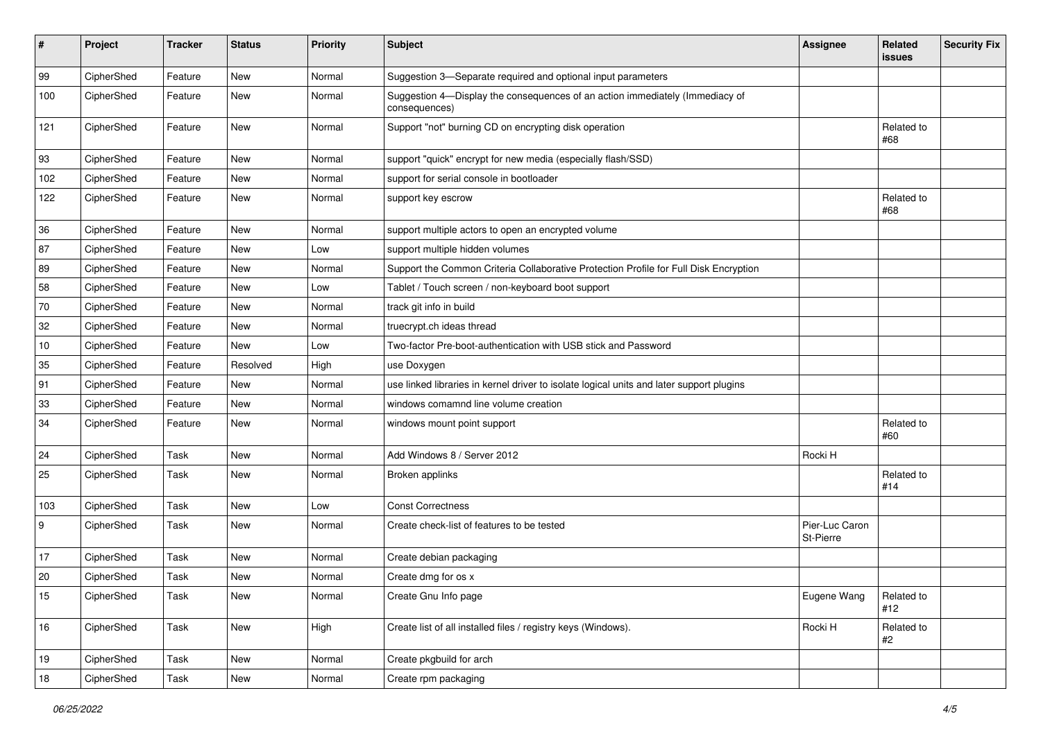| #                | Project    | <b>Tracker</b> | <b>Status</b> | <b>Priority</b> | <b>Subject</b>                                                                                | <b>Assignee</b>             | Related<br><b>issues</b> | <b>Security Fix</b> |
|------------------|------------|----------------|---------------|-----------------|-----------------------------------------------------------------------------------------------|-----------------------------|--------------------------|---------------------|
| 99               | CipherShed | Feature        | <b>New</b>    | Normal          | Suggestion 3-Separate required and optional input parameters                                  |                             |                          |                     |
| 100              | CipherShed | Feature        | <b>New</b>    | Normal          | Suggestion 4-Display the consequences of an action immediately (Immediacy of<br>consequences) |                             |                          |                     |
| 121              | CipherShed | Feature        | <b>New</b>    | Normal          | Support "not" burning CD on encrypting disk operation                                         |                             | Related to<br>#68        |                     |
| 93               | CipherShed | Feature        | <b>New</b>    | Normal          | support "quick" encrypt for new media (especially flash/SSD)                                  |                             |                          |                     |
| 102              | CipherShed | Feature        | <b>New</b>    | Normal          | support for serial console in bootloader                                                      |                             |                          |                     |
| 122              | CipherShed | Feature        | New           | Normal          | support key escrow                                                                            |                             | Related to<br>#68        |                     |
| 36               | CipherShed | Feature        | <b>New</b>    | Normal          | support multiple actors to open an encrypted volume                                           |                             |                          |                     |
| 87               | CipherShed | Feature        | New           | Low             | support multiple hidden volumes                                                               |                             |                          |                     |
| 89               | CipherShed | Feature        | <b>New</b>    | Normal          | Support the Common Criteria Collaborative Protection Profile for Full Disk Encryption         |                             |                          |                     |
| 58               | CipherShed | Feature        | <b>New</b>    | Low             | Tablet / Touch screen / non-keyboard boot support                                             |                             |                          |                     |
| 70               | CipherShed | Feature        | <b>New</b>    | Normal          | track git info in build                                                                       |                             |                          |                     |
| 32               | CipherShed | Feature        | New           | Normal          | truecrypt.ch ideas thread                                                                     |                             |                          |                     |
| 10               | CipherShed | Feature        | <b>New</b>    | Low             | Two-factor Pre-boot-authentication with USB stick and Password                                |                             |                          |                     |
| 35               | CipherShed | Feature        | Resolved      | High            | use Doxygen                                                                                   |                             |                          |                     |
| 91               | CipherShed | Feature        | New           | Normal          | use linked libraries in kernel driver to isolate logical units and later support plugins      |                             |                          |                     |
| 33               | CipherShed | Feature        | New           | Normal          | windows comamnd line volume creation                                                          |                             |                          |                     |
| 34               | CipherShed | Feature        | New           | Normal          | windows mount point support                                                                   |                             | Related to<br>#60        |                     |
| 24               | CipherShed | Task           | <b>New</b>    | Normal          | Add Windows 8 / Server 2012                                                                   | Rocki H                     |                          |                     |
| 25               | CipherShed | Task           | <b>New</b>    | Normal          | Broken applinks                                                                               |                             | Related to<br>#14        |                     |
| 103              | CipherShed | Task           | <b>New</b>    | Low             | <b>Const Correctness</b>                                                                      |                             |                          |                     |
| $\boldsymbol{9}$ | CipherShed | Task           | <b>New</b>    | Normal          | Create check-list of features to be tested                                                    | Pier-Luc Caron<br>St-Pierre |                          |                     |
| 17               | CipherShed | Task           | New           | Normal          | Create debian packaging                                                                       |                             |                          |                     |
| 20               | CipherShed | Task           | New           | Normal          | Create dmg for os x                                                                           |                             |                          |                     |
| 15               | CipherShed | Task           | New           | Normal          | Create Gnu Info page                                                                          | Eugene Wang                 | Related to<br>#12        |                     |
| 16               | CipherShed | Task           | New           | High            | Create list of all installed files / registry keys (Windows).                                 | Rocki H                     | Related to<br>#2         |                     |
| 19               | CipherShed | Task           | New           | Normal          | Create pkgbuild for arch                                                                      |                             |                          |                     |
| 18               | CipherShed | Task           | New           | Normal          | Create rpm packaging                                                                          |                             |                          |                     |